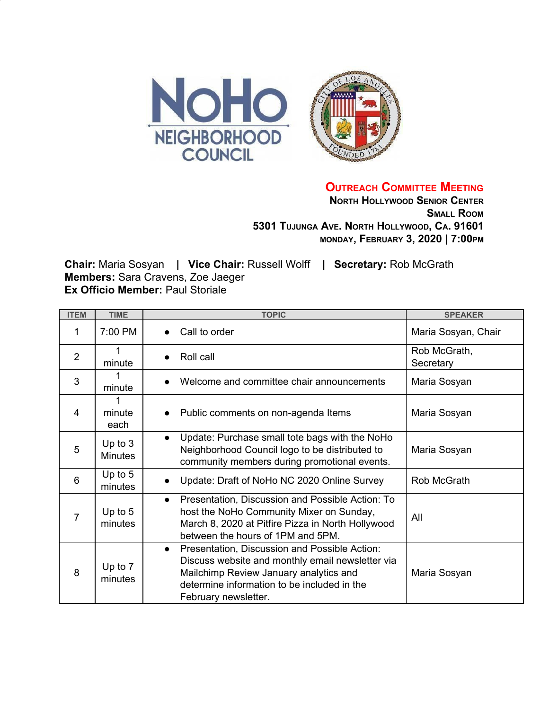

**OUTREACH COMMITTEE MEETING**

**NORTH HOLLYWOOD SENIOR CENTER SMALL ROOM 5301 TUJUNGA AVE. NORTH HOLLYWOOD, CA. 91601 MONDAY, FEBRUARY 3, 2020 | 7:00PM**

**Chair:** Maria Sosyan **| Vice Chair:** Russell Wolff **| Secretary:** Rob McGrath **Members:** Sara Cravens, Zoe Jaeger **Ex Officio Member: Paul Storiale** 

| <b>ITEM</b>    | <b>TIME</b>                 | <b>TOPIC</b>                                                                                                                                                                                                                    | <b>SPEAKER</b>            |
|----------------|-----------------------------|---------------------------------------------------------------------------------------------------------------------------------------------------------------------------------------------------------------------------------|---------------------------|
| 1              | 7:00 PM                     | Call to order<br>$\bullet$                                                                                                                                                                                                      | Maria Sosyan, Chair       |
| $\overline{2}$ | 1<br>minute                 | Roll call                                                                                                                                                                                                                       | Rob McGrath,<br>Secretary |
| 3              | 1<br>minute                 | Welcome and committee chair announcements<br>$\bullet$                                                                                                                                                                          | Maria Sosyan              |
| 4              | minute<br>each              | Public comments on non-agenda Items<br>$\bullet$                                                                                                                                                                                | Maria Sosyan              |
| 5              | Up to $3$<br><b>Minutes</b> | Update: Purchase small tote bags with the NoHo<br>$\bullet$<br>Neighborhood Council logo to be distributed to<br>community members during promotional events.                                                                   | Maria Sosyan              |
| 6              | Up to $5$<br>minutes        | Update: Draft of NoHo NC 2020 Online Survey                                                                                                                                                                                     | Rob McGrath               |
| 7              | Up to $5$<br>minutes        | Presentation, Discussion and Possible Action: To<br>$\bullet$<br>host the NoHo Community Mixer on Sunday,<br>March 8, 2020 at Pitfire Pizza in North Hollywood<br>between the hours of 1PM and 5PM.                             | All                       |
| 8              | Up to 7<br>minutes          | Presentation, Discussion and Possible Action:<br>$\bullet$<br>Discuss website and monthly email newsletter via<br>Mailchimp Review January analytics and<br>determine information to be included in the<br>February newsletter. | Maria Sosyan              |